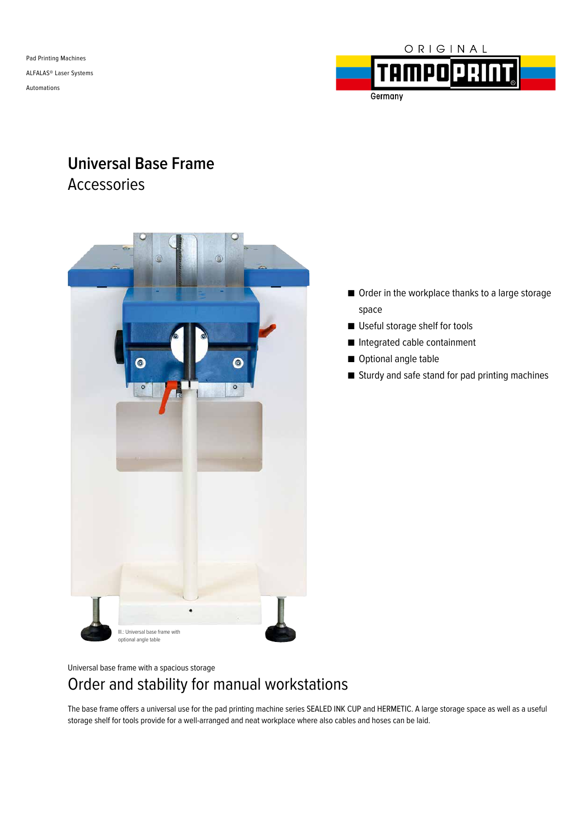Pad Printing Machines ALFALAS® Laser Systems Automations



Germany

# **Universal Base Frame** Accessories



- Order in the workplace thanks to a large storage space
- Useful storage shelf for tools
- Integrated cable containment
- Optional angle table
- Sturdy and safe stand for pad printing machines

Universal base frame with a spacious storage

## Order and stability for manual workstations

The base frame offers a universal use for the pad printing machine series SEALED INK CUP and HERMETIC. A large storage space as well as a useful storage shelf for tools provide for a well-arranged and neat workplace where also cables and hoses can be laid.